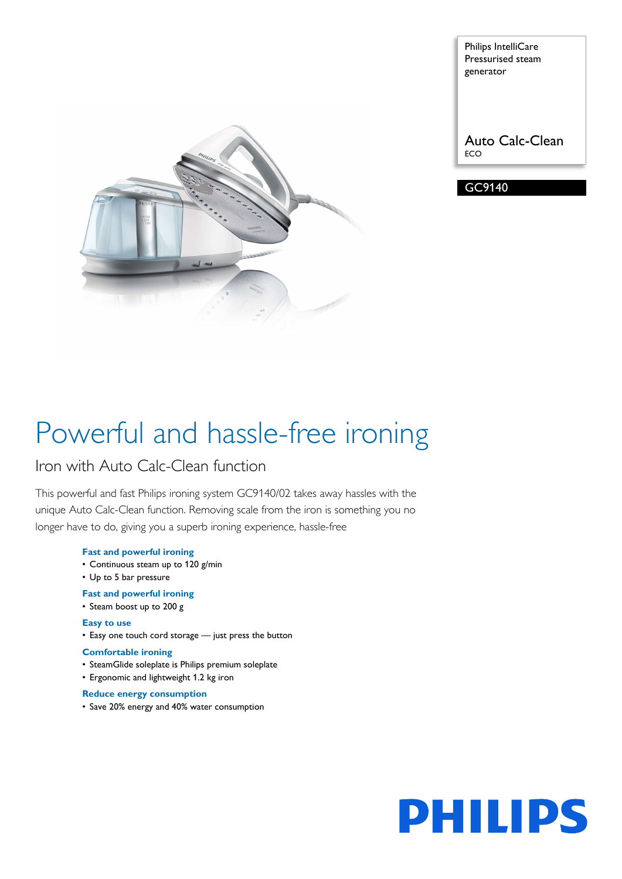

Philips IntelliCare Pressurised steam generator

Auto Calc-Clean ECO

GC9140

# Powerful and hassle-free ironing

### Iron with Auto Calc-Clean function

This powerful and fast Philips ironing system GC9140/02 takes away hassles with the unique Auto Calc-Clean function. Removing scale from the iron is something you no longer have to do, giving you a superb ironing experience, hassle-free

#### **Fast and powerful ironing**

- Continuous steam up to 120 g/min
- Up to 5 bar pressure

#### **Fast and powerful ironing**

• Steam boost up to 200 g

#### **Easy to use**

• Easy one touch cord storage — just press the button

#### **Comfortable ironing**

- SteamGlide soleplate is Philips premium soleplate
- Ergonomic and lightweight 1.2 kg iron

#### **Reduce energy consumption**

• Save 20% energy and 40% water consumption

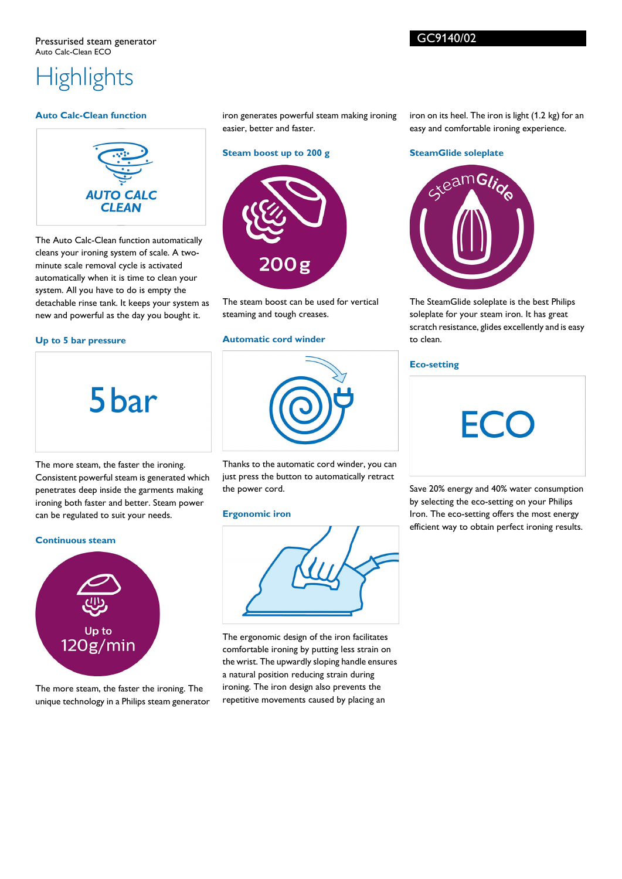## **Highlights**

#### **Auto Calc-Clean function**



The Auto Calc-Clean function automatically cleans your ironing system of scale. A twominute scale removal cycle is activated automatically when it is time to clean your system. All you have to do is empty the detachable rinse tank. It keeps your system as new and powerful as the day you bought it.

#### **Up to 5 bar pressure**

5<sub>bar</sub>

iron generates powerful steam making ironing easier, better and faster.

#### **Steam boost up to 200 g**



The steam boost can be used for vertical steaming and tough creases.

#### **Automatic cord winder**



Thanks to the automatic cord winder, you can just press the button to automatically retract the power cord.

#### **Ergonomic iron**



The ergonomic design of the iron facilitates comfortable ironing by putting less strain on the wrist. The upwardly sloping handle ensures a natural position reducing strain during ironing. The iron design also prevents the repetitive movements caused by placing an

iron on its heel. The iron is light (1.2 kg) for an easy and comfortable ironing experience.

#### **SteamGlide soleplate**



The SteamGlide soleplate is the best Philips soleplate for your steam iron. It has great scratch resistance, glides excellently and is easy to clean.

#### **Eco-setting**



Save 20% energy and 40% water consumption by selecting the eco-setting on your Philips Iron. The eco-setting offers the most energy efficient way to obtain perfect ironing results.

The more steam, the faster the ironing. Consistent powerful steam is generated which penetrates deep inside the garments making ironing both faster and better. Steam power can be regulated to suit your needs.

#### **Continuous steam**



The more steam, the faster the ironing. The unique technology in a Philips steam generator GC9140/02